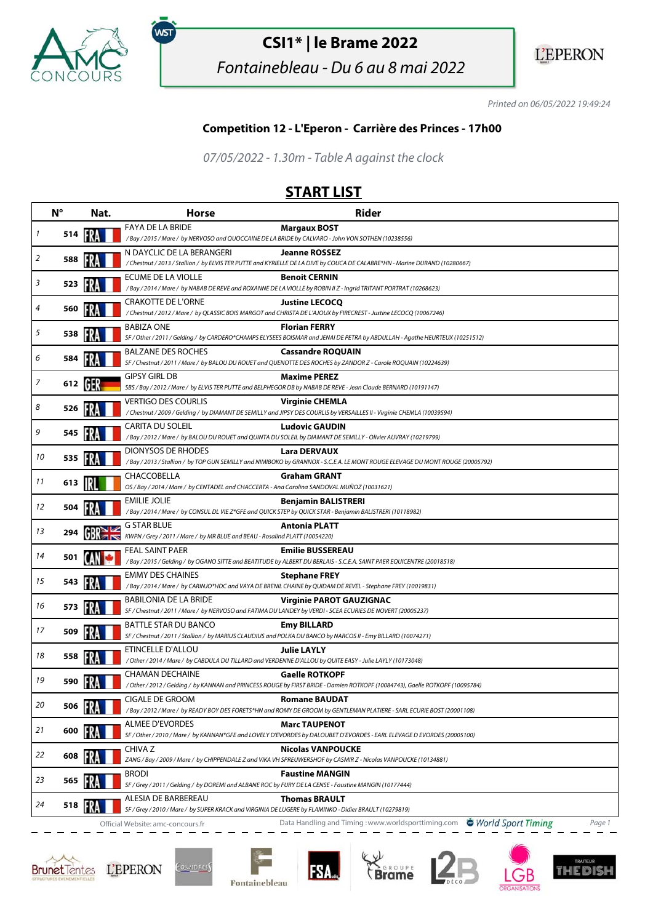

.<br>WST

## **CSI1\* | le Brame 2022**

Fontainebleau - Du 6 au 8 mai 2022



Printed on 06/05/2022 19:49:24

## **Competition 12 - L'Eperon - Carrière des Princes - 17h00**

07/05/2022 - 1.30m - Table A against the clock

## **START LIST**

|    | $N^{\circ}$ | Nat. | <b>Horse</b>                                                                                                           | <b>Rider</b>                                                                                                                                          |
|----|-------------|------|------------------------------------------------------------------------------------------------------------------------|-------------------------------------------------------------------------------------------------------------------------------------------------------|
| 1  | 514         |      | FAYA DE LA BRIDE<br>/Bay / 2015 / Mare / by NERVOSO and QUOCCAINE DE LA BRIDE by CALVARO - John VON SOTHEN (10238556)  | <b>Margaux BOST</b>                                                                                                                                   |
|    |             |      |                                                                                                                        |                                                                                                                                                       |
| 2  | 588         |      | N DAYCLIC DE LA BERANGERI                                                                                              | <b>Jeanne ROSSEZ</b><br>/ Chestnut / 2013 / Stallion / by ELVIS TER PUTTE and KYRIELLE DE LA DIVE by COUCA DE CALABRE*HN - Marine DURAND (10280667)   |
|    |             |      | ECUME DE LA VIOLLE                                                                                                     | <b>Benoit CERNIN</b>                                                                                                                                  |
| 3  | 523         |      |                                                                                                                        | /Bay / 2014 / Mare / by NABAB DE REVE and ROXANNE DE LA VIOLLE by ROBIN II Z - Ingrid TRITANT PORTRAT (10268623)                                      |
| 4  | 560         |      | CRAKOTTE DE L'ORNE                                                                                                     | <b>Justine LECOCQ</b>                                                                                                                                 |
|    |             |      |                                                                                                                        | / Chestnut / 2012 / Mare / by QLASSIC BOIS MARGOT and CHRISTA DE L'AJOUX by FIRECREST - Justine LECOCQ (10067246)                                     |
| 5  | 538         |      | <b>BABIZA ONE</b>                                                                                                      | <b>Florian FERRY</b><br>SF / Other / 2011 / Gelding / by CARDERO*CHAMPS ELYSEES BOISMAR and JENAI DE PETRA by ABDULLAH - Agathe HEURTEUX (10251512)   |
| 6  |             |      | <b>BALZANE DES ROCHES</b>                                                                                              | <b>Cassandre ROQUAIN</b>                                                                                                                              |
|    | 584         |      |                                                                                                                        | SF / Chestnut / 2011 / Mare / by BALOU DU ROUET and QUENOTTE DES ROCHES by ZANDOR Z - Carole ROQUAIN (10224639)                                       |
| 7  | 612 [6]     |      | <b>GIPSY GIRL DB</b>                                                                                                   | <b>Maxime PEREZ</b><br>SBS / Bay / 2012 / Mare / by ELVIS TER PUTTE and BELPHEGOR DB by NABAB DE REVE - Jean Claude BERNARD (10191147)                |
|    |             |      | <b>VERTIGO DES COURLIS</b>                                                                                             | <b>Virginie CHEMLA</b>                                                                                                                                |
| 8  | 526         |      |                                                                                                                        | /Chestnut/2009/Gelding/ by DIAMANT DE SEMILLY and JIPSY DES COURLIS by VERSAILLES II - Virginie CHEMLA (10039594)                                     |
| 9  | 545         |      | <b>CARITA DU SOLEIL</b>                                                                                                | <b>Ludovic GAUDIN</b>                                                                                                                                 |
|    |             |      |                                                                                                                        | / Bay / 2012 / Mare / by BALOU DU ROUET and QUINTA DU SOLEIL by DIAMANT DE SEMILLY - Olivier AUVRAY (10219799)                                        |
| 10 | 535         |      | <b>DIONYSOS DE RHODES</b>                                                                                              | Lara DERVAUX<br>/Bay / 2013 / Stallion / by TOP GUN SEMILLY and NIMIBOKO by GRANNOX - S.C.E.A. LE MONT ROUGE ELEVAGE DU MONT ROUGE (20005792)         |
|    |             |      | CHACCOBELLA                                                                                                            | <b>Graham GRANT</b>                                                                                                                                   |
| 11 | 613         |      | OS / Bay / 2014 / Mare / by CENTADEL and CHACCERTA - Ana Carolina SANDOVAL MUÑOZ (10031621)                            |                                                                                                                                                       |
| 12 |             |      | EMILIE JOLIE                                                                                                           | Benjamin BALISTRERI                                                                                                                                   |
|    | 504         |      | /Bay / 2014 / Mare / by CONSUL DL VIE Z*GFE and QUICK STEP by QUICK STAR - Benjamin BALISTRERI (10118982)              |                                                                                                                                                       |
| 13 | 294         |      | G STAR BLUE<br>KWPN / Grey / 2011 / Mare / by MR BLUE and BEAU - Rosalind PLATT (10054220)                             | <b>Antonia PLATT</b>                                                                                                                                  |
|    |             |      | FEAL SAINT PAER                                                                                                        | <b>Emilie BUSSEREAU</b>                                                                                                                               |
| 14 | 501         |      |                                                                                                                        | /Bay / 2015 / Gelding / by OGANO SITTE and BEATITUDE by ALBERT DU BERLAIS - S.C.E.A. SAINT PAER EQUICENTRE (20018518)                                 |
| 15 | 543         | FRA  | <b>EMMY DES CHAINES</b>                                                                                                | <b>Stephane FREY</b>                                                                                                                                  |
|    |             |      |                                                                                                                        | / Bay / 2014 / Mare / by CARINJO*HDC and VAYA DE BRENIL CHAINE by QUIDAM DE REVEL - Stephane FREY (10019831)                                          |
| 16 | 573         |      | <b>BABILONIA DE LA BRIDE</b>                                                                                           | <b>Virginie PAROT GAUZIGNAC</b><br>SF / Chestnut / 2011 / Mare / by NERVOSO and FATIMA DU LANDEY by VERDI - SCEA ECURIES DE NOVERT (20005237)         |
|    |             |      | <b>BATTLE STAR DU BANCO</b>                                                                                            | <b>Emy BILLARD</b>                                                                                                                                    |
| 17 | 509         |      |                                                                                                                        | SF / Chestnut / 2011 / Stallion / by MARIUS CLAUDIUS and POLKA DU BANCO by NARCOS II - Emy BILLARD (10074271)                                         |
|    |             |      | ETINCELLE D'ALLOU                                                                                                      | <b>Julie LAYLY</b>                                                                                                                                    |
| 18 | 558         |      | / Other / 2014 / Mare / by CABDULA DU TILLARD and VERDENNE D'ALLOU by QUITE EASY - Julie LAYLY (10173048)              |                                                                                                                                                       |
| 19 | 590         |      | <b>CHAMAN DECHAINE</b>                                                                                                 | <b>Gaelle ROTKOPF</b>                                                                                                                                 |
|    |             |      |                                                                                                                        | / Other / 2012 / Gelding / by KANNAN and PRINCESS ROUGE by FIRST BRIDE - Damien ROTKOPF (10084743), Gaelle ROTKOPF (10095784)<br><b>Romane BAUDAT</b> |
| 20 | 506         |      | CIGALE DE GROOM                                                                                                        | /Bay / 2012 / Mare / by READY BOY DES FORETS*HN and ROMY DE GROOM by GENTLEMAN PLATIERE - SARL ECURIE BOST (20001108)                                 |
|    |             |      | <b>ALMEE D'EVORDES</b>                                                                                                 | <b>Marc TAUPENOT</b>                                                                                                                                  |
| 21 | 600         |      |                                                                                                                        | SF / Other / 2010 / Mare / by KANNAN*GFE and LOVELY D'EVORDES by DALOUBET D'EVORDES - EARL ELEVAGE D EVORDES (20005100)                               |
| 22 | 608         |      | CHIVA Z                                                                                                                | <b>Nicolas VANPOUCKE</b>                                                                                                                              |
|    |             |      |                                                                                                                        | ZANG / Bay / 2009 / Mare / by CHIPPENDALE Z and VIKA VH SPREUWERSHOF by CASMIR Z - Nicolas VANPOUCKE (10134881)                                       |
| 23 | 565         |      | <b>BRODI</b><br>SF / Grey / 2011 / Gelding / by DOREMI and ALBANE ROC by FURY DE LA CENSE - Faustine MANGIN (10177444) | <b>Faustine MANGIN</b>                                                                                                                                |
|    |             |      | ALESIA DE BARBEREAU                                                                                                    | <b>Thomas BRAULT</b>                                                                                                                                  |
| 24 | 518         |      | SF / Grey / 2010 / Mare / by SUPER KRACK and VIRGINIA DE LUGERE by FLAMINKO - Didier BRAULT (10279819)                 |                                                                                                                                                       |
|    |             |      | Official Website: amc-concours.fr                                                                                      | Data Handling and Timing: www.worldsporttiming.com World Sport Timing<br>Page 1                                                                       |







**FSA**